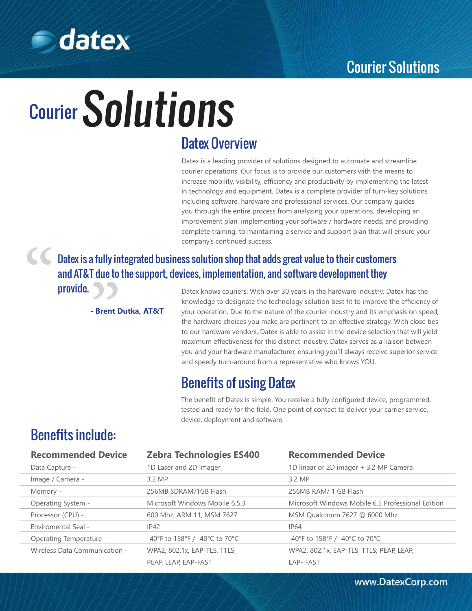

## **S**datex

# Courier Solutions

## Datex Overview

Datex is a leading provider of solutions designed to automate and streamline courier operations. Our focus is to provide our customers with the means to increase mobility, visibility, efficiency and productivity by implementing the latest in technology and equipment. Datex is a complete provider of turn-key solutions including software, hardware and professional services. Our company guides you through the entire process from analyzing your operations, developing an improvement plan, implementing your software / hardware needs, and providing complete training, to maintaining a service and support plan that will ensure your company's continued success.

Datex is a fully integrated business solution shop that adds great value to their customers and AT&T due to the support, devices, implementation, and software development they **Datex is a fully in<br>and AT&T due to<br>provide.<br>- Brent D** 

**- Brent Dutka, AT&T**

Datex knows couriers. With over 30 years in the hardware industry, Datex has the knowledge to designate the technology solution best fit to improve the efficiency of your operation. Due to the nature of the courier industry and its emphasis on speed, the hardware choices you make are pertinent to an effective strategy. With close ties to our hardware vendors, Datex is able to assist in the device selection that will yield maximum effectiveness for this distinct industry. Datex serves as a liaison between you and your hardware manufacturer, ensuring you'll always receive superior service and speedy turn-around from a representative who knows YOU.

## Benefits of using Datex

The benefit of Datex is simple. You receive a fully configured device, programmed, tested and ready for the field. One point of contact to deliver your carrier service, device, deployment and software.

### Benefits include:

"

| <b>Recommended Device</b>     | <b>Zebra Technologies ES400</b> | <b>Recommended Device</b>                         |
|-------------------------------|---------------------------------|---------------------------------------------------|
| Data Capture -                | 1D Laser and 2D Imager          | 1D linear or 2D imager + 3.2 MP Camera            |
| Image / Camera -              | 3.2 MP                          | 3.2 MP                                            |
| Memory -                      | 256MB SDRAM/1GB Flash           | 256MB RAM/ 1 GB Flash                             |
| Operating System -            | Microsoft Windows Mobile 6.5.3  | Microsoft Windows Mobile 6.5 Professional Edition |
| Processor (CPU) -             | 600 Mhz, ARM 11, MSM 7627       | MSM Qualcomm 7627 @ 6000 Mhz                      |
| Enviromental Seal -           | IP42                            | <b>IP64</b>                                       |
| Operating Temperature -       | -40°F to 158°F / -40°C to 70°C  | -40°F to 158°F / -40°C to 70°C                    |
| Wireless Data Communication - | WPA2, 802.1x, EAP-TLS, TTLS,    | WPA2, 802.1x, EAP-TLS, TTLS; PEAP, LEAP,          |
|                               | PEAP, LEAP, EAP-FAST            | <b>EAP-FAST</b>                                   |